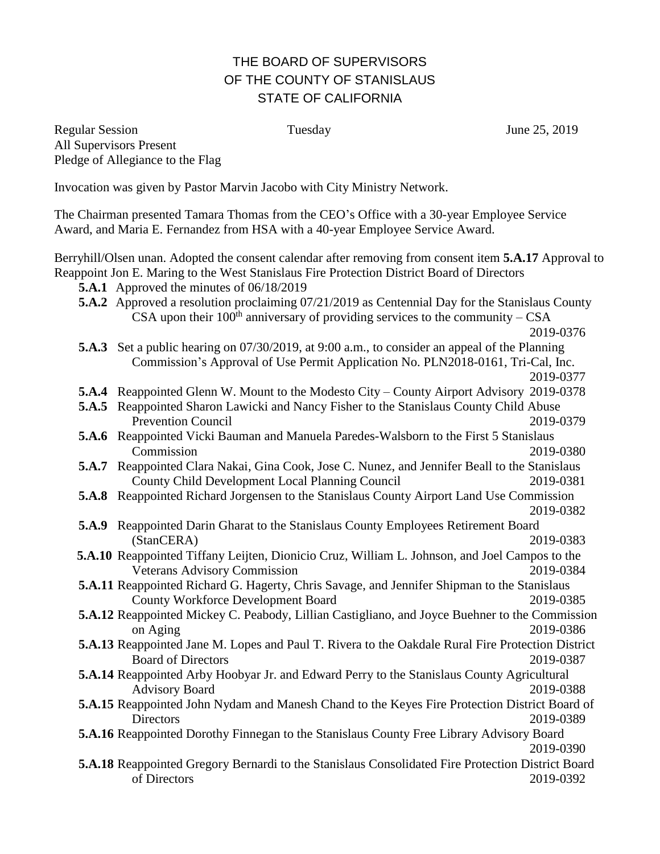## THE BOARD OF SUPERVISORS OF THE COUNTY OF STANISLAUS STATE OF CALIFORNIA

Regular Session Tuesday June 25, 2019 All Supervisors Present Pledge of Allegiance to the Flag

Invocation was given by Pastor Marvin Jacobo with City Ministry Network.

The Chairman presented Tamara Thomas from the CEO's Office with a 30-year Employee Service Award, and Maria E. Fernandez from HSA with a 40-year Employee Service Award.

Berryhill/Olsen unan. Adopted the consent calendar after removing from consent item **5.A.17** Approval to Reappoint Jon E. Maring to the West Stanislaus Fire Protection District Board of Directors

- **5.A.1** Approved the minutes of 06/18/2019
- **5.A.2** Approved a resolution proclaiming 07/21/2019 as Centennial Day for the Stanislaus County CSA upon their  $100<sup>th</sup>$  anniversary of providing services to the community – CSA

2019-0376

**5.A.3** Set a public hearing on 07/30/2019, at 9:00 a.m., to consider an appeal of the Planning Commission's Approval of Use Permit Application No. PLN2018-0161, Tri-Cal, Inc.

2019-0377

- **5.A.4** Reappointed Glenn W. Mount to the Modesto City County Airport Advisory 2019-0378
- **5.A.5** Reappointed Sharon Lawicki and Nancy Fisher to the Stanislaus County Child Abuse Prevention Council 2019-0379
- **5.A.6** Reappointed Vicki Bauman and Manuela Paredes-Walsborn to the First 5 Stanislaus Commission 2019-0380
- **5.A.7** Reappointed Clara Nakai, Gina Cook, Jose C. Nunez, and Jennifer Beall to the Stanislaus County Child Development Local Planning Council 2019-0381
- **5.A.8** Reappointed Richard Jorgensen to the Stanislaus County Airport Land Use Commission
- 2019-0382 **5.A.9** Reappointed Darin Gharat to the Stanislaus County Employees Retirement Board (StanCERA) 2019-0383
- **5.A.10** Reappointed Tiffany Leijten, Dionicio Cruz, William L. Johnson, and Joel Campos to the Veterans Advisory Commission 2019-0384
- **5.A.11** Reappointed Richard G. Hagerty, Chris Savage, and Jennifer Shipman to the Stanislaus County Workforce Development Board 2019-0385
- **5.A.12** Reappointed Mickey C. Peabody, Lillian Castigliano, and Joyce Buehner to the Commission on Aging 2019-0386
- **5.A.13** Reappointed Jane M. Lopes and Paul T. Rivera to the Oakdale Rural Fire Protection District Board of Directors 2019-0387
- **5.A.14** Reappointed Arby Hoobyar Jr. and Edward Perry to the Stanislaus County Agricultural Advisory Board 2019-0388
- **5.A.15** Reappointed John Nydam and Manesh Chand to the Keyes Fire Protection District Board of Directors 2019-0389
- **5.A.16** Reappointed Dorothy Finnegan to the Stanislaus County Free Library Advisory Board 2019-0390
- **5.A.18** Reappointed Gregory Bernardi to the Stanislaus Consolidated Fire Protection District Board of Directors 2019-0392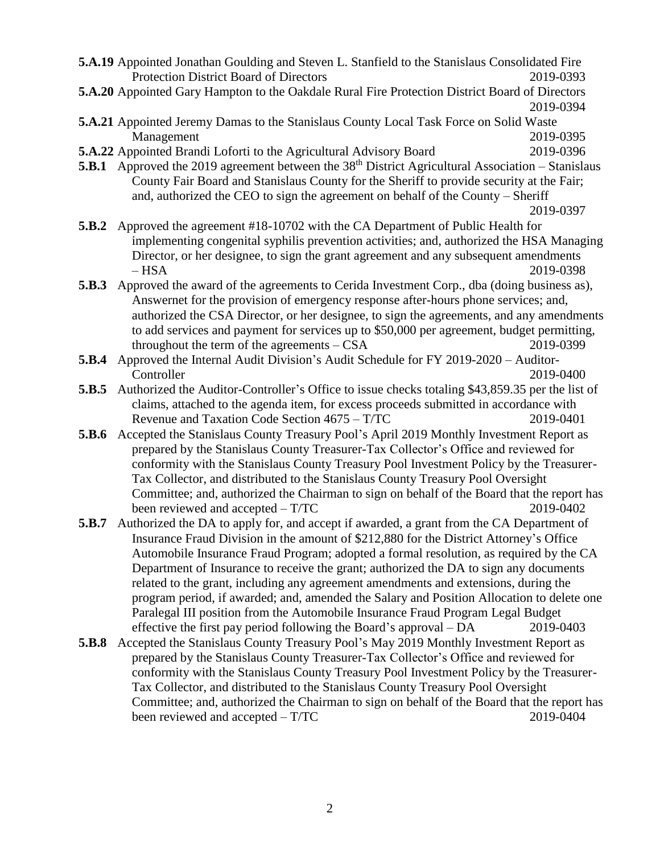|       | <b>5.A.19</b> Appointed Jonathan Goulding and Steven L. Stanfield to the Stanislaus Consolidated Fire<br>Protection District Board of Directors                                                                                                                                                                                                                  | 2019-0393                                                                                                                                                                   |  |
|-------|------------------------------------------------------------------------------------------------------------------------------------------------------------------------------------------------------------------------------------------------------------------------------------------------------------------------------------------------------------------|-----------------------------------------------------------------------------------------------------------------------------------------------------------------------------|--|
|       | 5.A.20 Appointed Gary Hampton to the Oakdale Rural Fire Protection District Board of Directors                                                                                                                                                                                                                                                                   | 2019-0394                                                                                                                                                                   |  |
|       | 5.A.21 Appointed Jeremy Damas to the Stanislaus County Local Task Force on Solid Waste<br>Management                                                                                                                                                                                                                                                             | 2019-0395                                                                                                                                                                   |  |
|       | <b>5.A.22</b> Appointed Brandi Loforti to the Agricultural Advisory Board                                                                                                                                                                                                                                                                                        | 2019-0396                                                                                                                                                                   |  |
|       | <b>5.B.1</b> Approved the 2019 agreement between the $38th$ District Agricultural Association – Stanislaus                                                                                                                                                                                                                                                       |                                                                                                                                                                             |  |
|       |                                                                                                                                                                                                                                                                                                                                                                  | County Fair Board and Stanislaus County for the Sheriff to provide security at the Fair;<br>and, authorized the CEO to sign the agreement on behalf of the County – Sheriff |  |
|       |                                                                                                                                                                                                                                                                                                                                                                  | 2019-0397                                                                                                                                                                   |  |
| 5.B.2 | Approved the agreement #18-10702 with the CA Department of Public Health for                                                                                                                                                                                                                                                                                     |                                                                                                                                                                             |  |
|       |                                                                                                                                                                                                                                                                                                                                                                  | implementing congenital syphilis prevention activities; and, authorized the HSA Managing                                                                                    |  |
|       | Director, or her designee, to sign the grant agreement and any subsequent amendments<br>$-$ HSA                                                                                                                                                                                                                                                                  | 2019-0398                                                                                                                                                                   |  |
| 5.B.3 | Approved the award of the agreements to Cerida Investment Corp., dba (doing business as),                                                                                                                                                                                                                                                                        |                                                                                                                                                                             |  |
|       | Answernet for the provision of emergency response after-hours phone services; and,                                                                                                                                                                                                                                                                               |                                                                                                                                                                             |  |
|       | authorized the CSA Director, or her designee, to sign the agreements, and any amendments                                                                                                                                                                                                                                                                         |                                                                                                                                                                             |  |
|       | to add services and payment for services up to \$50,000 per agreement, budget permitting,                                                                                                                                                                                                                                                                        |                                                                                                                                                                             |  |
|       | throughout the term of the agreements $-$ CSA                                                                                                                                                                                                                                                                                                                    | 2019-0399                                                                                                                                                                   |  |
| 5.B.4 | Approved the Internal Audit Division's Audit Schedule for FY 2019-2020 - Auditor-                                                                                                                                                                                                                                                                                |                                                                                                                                                                             |  |
|       | Controller                                                                                                                                                                                                                                                                                                                                                       | 2019-0400                                                                                                                                                                   |  |
| 5.B.5 | Authorized the Auditor-Controller's Office to issue checks totaling \$43,859.35 per the list of                                                                                                                                                                                                                                                                  |                                                                                                                                                                             |  |
|       | claims, attached to the agenda item, for excess proceeds submitted in accordance with<br>Revenue and Taxation Code Section 4675 – T/TC                                                                                                                                                                                                                           | 2019-0401                                                                                                                                                                   |  |
| 5.B.6 | Accepted the Stanislaus County Treasury Pool's April 2019 Monthly Investment Report as                                                                                                                                                                                                                                                                           |                                                                                                                                                                             |  |
|       | prepared by the Stanislaus County Treasurer-Tax Collector's Office and reviewed for                                                                                                                                                                                                                                                                              |                                                                                                                                                                             |  |
|       | conformity with the Stanislaus County Treasury Pool Investment Policy by the Treasurer-                                                                                                                                                                                                                                                                          |                                                                                                                                                                             |  |
|       |                                                                                                                                                                                                                                                                                                                                                                  | Tax Collector, and distributed to the Stanislaus County Treasury Pool Oversight                                                                                             |  |
|       |                                                                                                                                                                                                                                                                                                                                                                  | Committee; and, authorized the Chairman to sign on behalf of the Board that the report has                                                                                  |  |
|       | been reviewed and accepted – T/TC                                                                                                                                                                                                                                                                                                                                | 2019-0402                                                                                                                                                                   |  |
| 5.B.7 | Authorized the DA to apply for, and accept if awarded, a grant from the CA Department of                                                                                                                                                                                                                                                                         |                                                                                                                                                                             |  |
|       | Insurance Fraud Division in the amount of \$212,880 for the District Attorney's Office<br>Automobile Insurance Fraud Program; adopted a formal resolution, as required by the CA<br>Department of Insurance to receive the grant; authorized the DA to sign any documents<br>related to the grant, including any agreement amendments and extensions, during the |                                                                                                                                                                             |  |
|       |                                                                                                                                                                                                                                                                                                                                                                  |                                                                                                                                                                             |  |
|       |                                                                                                                                                                                                                                                                                                                                                                  |                                                                                                                                                                             |  |
|       |                                                                                                                                                                                                                                                                                                                                                                  |                                                                                                                                                                             |  |
|       | program period, if awarded; and, amended the Salary and Position Allocation to delete one                                                                                                                                                                                                                                                                        |                                                                                                                                                                             |  |
|       | Paralegal III position from the Automobile Insurance Fraud Program Legal Budget                                                                                                                                                                                                                                                                                  |                                                                                                                                                                             |  |
|       | effective the first pay period following the Board's approval – DA                                                                                                                                                                                                                                                                                               | 2019-0403                                                                                                                                                                   |  |
| 5.B.8 | Accepted the Stanislaus County Treasury Pool's May 2019 Monthly Investment Report as                                                                                                                                                                                                                                                                             |                                                                                                                                                                             |  |
|       | prepared by the Stanislaus County Treasurer-Tax Collector's Office and reviewed for                                                                                                                                                                                                                                                                              |                                                                                                                                                                             |  |
|       | conformity with the Stanislaus County Treasury Pool Investment Policy by the Treasurer-                                                                                                                                                                                                                                                                          |                                                                                                                                                                             |  |
|       | Tax Collector, and distributed to the Stanislaus County Treasury Pool Oversight<br>Committee; and, authorized the Chairman to sign on behalf of the Board that the report has                                                                                                                                                                                    |                                                                                                                                                                             |  |
|       | been reviewed and accepted $- T/TC$                                                                                                                                                                                                                                                                                                                              | 2019-0404                                                                                                                                                                   |  |
|       |                                                                                                                                                                                                                                                                                                                                                                  |                                                                                                                                                                             |  |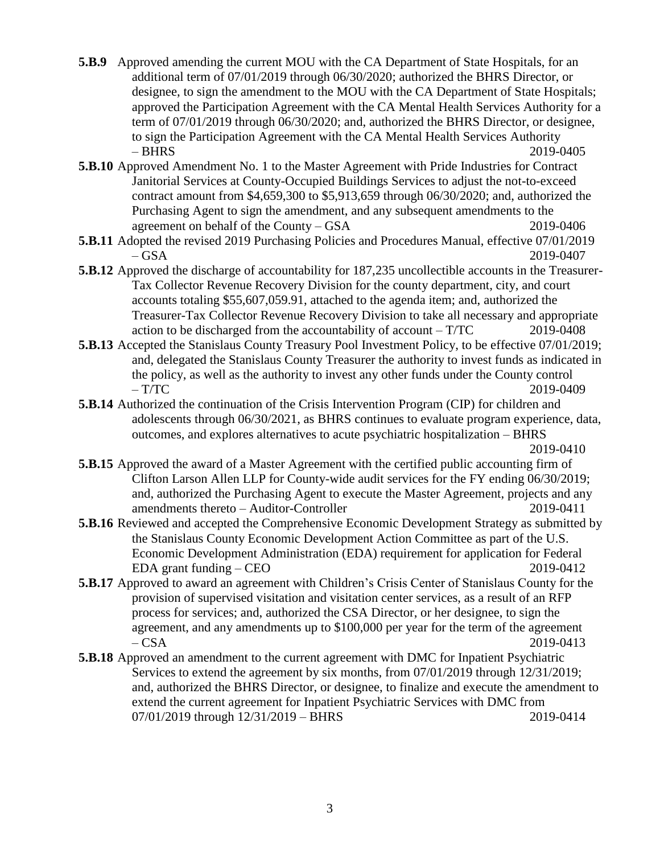- **5.B.9** Approved amending the current MOU with the CA Department of State Hospitals, for an additional term of 07/01/2019 through 06/30/2020; authorized the BHRS Director, or designee, to sign the amendment to the MOU with the CA Department of State Hospitals; approved the Participation Agreement with the CA Mental Health Services Authority for a term of 07/01/2019 through 06/30/2020; and, authorized the BHRS Director, or designee, to sign the Participation Agreement with the CA Mental Health Services Authority – BHRS 2019-0405
- **5.B.10** Approved Amendment No. 1 to the Master Agreement with Pride Industries for Contract Janitorial Services at County-Occupied Buildings Services to adjust the not-to-exceed contract amount from \$4,659,300 to \$5,913,659 through 06/30/2020; and, authorized the Purchasing Agent to sign the amendment, and any subsequent amendments to the agreement on behalf of the County – GSA 2019-0406
- **5.B.11** Adopted the revised 2019 Purchasing Policies and Procedures Manual, effective 07/01/2019 – GSA 2019-0407
- **5.B.12** Approved the discharge of accountability for 187,235 uncollectible accounts in the Treasurer-Tax Collector Revenue Recovery Division for the county department, city, and court accounts totaling \$55,607,059.91, attached to the agenda item; and, authorized the Treasurer-Tax Collector Revenue Recovery Division to take all necessary and appropriate action to be discharged from the accountability of account – T/TC 2019-0408
- **5.B.13** Accepted the Stanislaus County Treasury Pool Investment Policy, to be effective 07/01/2019; and, delegated the Stanislaus County Treasurer the authority to invest funds as indicated in the policy, as well as the authority to invest any other funds under the County control  $- T/TC$  2019-0409
- **5.B.14** Authorized the continuation of the Crisis Intervention Program (CIP) for children and adolescents through 06/30/2021, as BHRS continues to evaluate program experience, data, outcomes, and explores alternatives to acute psychiatric hospitalization – BHRS

2019-0410

- **5.B.15** Approved the award of a Master Agreement with the certified public accounting firm of Clifton Larson Allen LLP for County-wide audit services for the FY ending 06/30/2019; and, authorized the Purchasing Agent to execute the Master Agreement, projects and any amendments thereto – Auditor-Controller 2019-0411
- **5.B.16** Reviewed and accepted the Comprehensive Economic Development Strategy as submitted by the Stanislaus County Economic Development Action Committee as part of the U.S. Economic Development Administration (EDA) requirement for application for Federal EDA grant funding – CEO 2019-0412
- **5.B.17** Approved to award an agreement with Children's Crisis Center of Stanislaus County for the provision of supervised visitation and visitation center services, as a result of an RFP process for services; and, authorized the CSA Director, or her designee, to sign the agreement, and any amendments up to \$100,000 per year for the term of the agreement  $-CSA$  2019-0413
- **5.B.18** Approved an amendment to the current agreement with DMC for Inpatient Psychiatric Services to extend the agreement by six months, from 07/01/2019 through 12/31/2019; and, authorized the BHRS Director, or designee, to finalize and execute the amendment to extend the current agreement for Inpatient Psychiatric Services with DMC from 07/01/2019 through 12/31/2019 – BHRS 2019-0414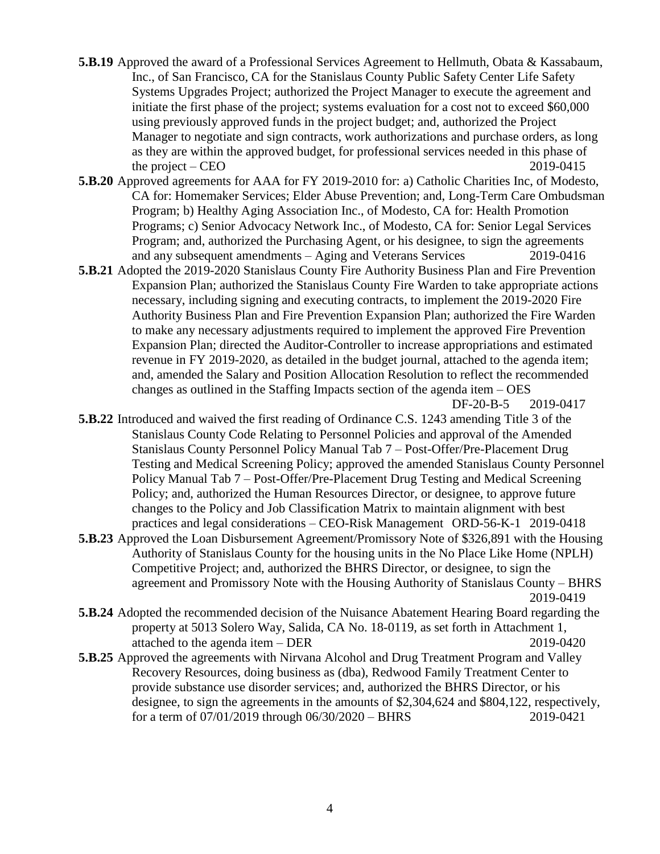- **5.B.19** Approved the award of a Professional Services Agreement to Hellmuth, Obata & Kassabaum, Inc., of San Francisco, CA for the Stanislaus County Public Safety Center Life Safety Systems Upgrades Project; authorized the Project Manager to execute the agreement and initiate the first phase of the project; systems evaluation for a cost not to exceed \$60,000 using previously approved funds in the project budget; and, authorized the Project Manager to negotiate and sign contracts, work authorizations and purchase orders, as long as they are within the approved budget, for professional services needed in this phase of the project – CEO  $2019-0415$
- **5.B.20** Approved agreements for AAA for FY 2019-2010 for: a) Catholic Charities Inc, of Modesto, CA for: Homemaker Services; Elder Abuse Prevention; and, Long-Term Care Ombudsman Program; b) Healthy Aging Association Inc., of Modesto, CA for: Health Promotion Programs; c) Senior Advocacy Network Inc., of Modesto, CA for: Senior Legal Services Program; and, authorized the Purchasing Agent, or his designee, to sign the agreements and any subsequent amendments – Aging and Veterans Services 2019-0416
- **5.B.21** Adopted the 2019-2020 Stanislaus County Fire Authority Business Plan and Fire Prevention Expansion Plan; authorized the Stanislaus County Fire Warden to take appropriate actions necessary, including signing and executing contracts, to implement the 2019-2020 Fire Authority Business Plan and Fire Prevention Expansion Plan; authorized the Fire Warden to make any necessary adjustments required to implement the approved Fire Prevention Expansion Plan; directed the Auditor-Controller to increase appropriations and estimated revenue in FY 2019-2020, as detailed in the budget journal, attached to the agenda item; and, amended the Salary and Position Allocation Resolution to reflect the recommended changes as outlined in the Staffing Impacts section of the agenda item – OES

DF-20-B-5 2019-0417

**5.B.22** Introduced and waived the first reading of Ordinance C.S. 1243 amending Title 3 of the Stanislaus County Code Relating to Personnel Policies and approval of the Amended Stanislaus County Personnel Policy Manual Tab 7 – Post-Offer/Pre-Placement Drug Testing and Medical Screening Policy; approved the amended Stanislaus County Personnel Policy Manual Tab 7 – Post-Offer/Pre-Placement Drug Testing and Medical Screening Policy; and, authorized the Human Resources Director, or designee, to approve future changes to the Policy and Job Classification Matrix to maintain alignment with best practices and legal considerations – CEO-Risk Management ORD-56-K-1 2019-0418

- **5.B.23** Approved the Loan Disbursement Agreement/Promissory Note of \$326,891 with the Housing Authority of Stanislaus County for the housing units in the No Place Like Home (NPLH) Competitive Project; and, authorized the BHRS Director, or designee, to sign the agreement and Promissory Note with the Housing Authority of Stanislaus County – BHRS 2019-0419
- **5.B.24** Adopted the recommended decision of the Nuisance Abatement Hearing Board regarding the property at 5013 Solero Way, Salida, CA No. 18-0119, as set forth in Attachment 1, attached to the agenda item – DER 2019-0420
- **5.B.25** Approved the agreements with Nirvana Alcohol and Drug Treatment Program and Valley Recovery Resources, doing business as (dba), Redwood Family Treatment Center to provide substance use disorder services; and, authorized the BHRS Director, or his designee, to sign the agreements in the amounts of \$2,304,624 and \$804,122, respectively, for a term of 07/01/2019 through 06/30/2020 – BHRS 2019-0421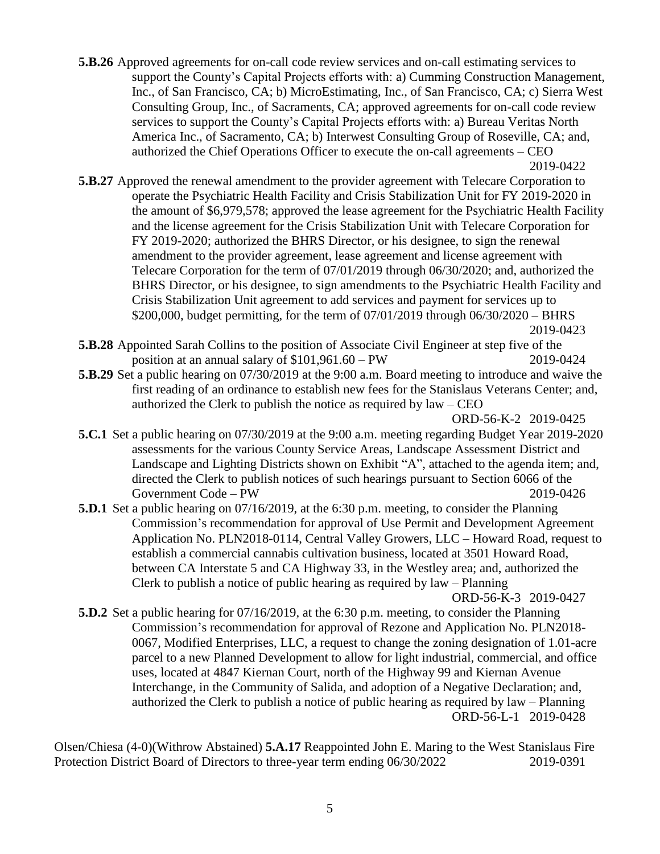- **5.B.26** Approved agreements for on-call code review services and on-call estimating services to support the County's Capital Projects efforts with: a) Cumming Construction Management, Inc., of San Francisco, CA; b) MicroEstimating, Inc., of San Francisco, CA; c) Sierra West Consulting Group, Inc., of Sacraments, CA; approved agreements for on-call code review services to support the County's Capital Projects efforts with: a) Bureau Veritas North America Inc., of Sacramento, CA; b) Interwest Consulting Group of Roseville, CA; and, authorized the Chief Operations Officer to execute the on-call agreements – CEO 2019-0422
- **5.B.27** Approved the renewal amendment to the provider agreement with Telecare Corporation to operate the Psychiatric Health Facility and Crisis Stabilization Unit for FY 2019-2020 in the amount of \$6,979,578; approved the lease agreement for the Psychiatric Health Facility and the license agreement for the Crisis Stabilization Unit with Telecare Corporation for FY 2019-2020; authorized the BHRS Director, or his designee, to sign the renewal amendment to the provider agreement, lease agreement and license agreement with Telecare Corporation for the term of 07/01/2019 through 06/30/2020; and, authorized the BHRS Director, or his designee, to sign amendments to the Psychiatric Health Facility and Crisis Stabilization Unit agreement to add services and payment for services up to \$200,000, budget permitting, for the term of 07/01/2019 through 06/30/2020 – BHRS 2019-0423
- **5.B.28** Appointed Sarah Collins to the position of Associate Civil Engineer at step five of the position at an annual salary of \$101,961.60 – PW 2019-0424
- **5.B.29** Set a public hearing on 07/30/2019 at the 9:00 a.m. Board meeting to introduce and waive the first reading of an ordinance to establish new fees for the Stanislaus Veterans Center; and, authorized the Clerk to publish the notice as required by  $law - CEO$
- ORD-56-K-2 2019-0425 **5.C.1** Set a public hearing on 07/30/2019 at the 9:00 a.m. meeting regarding Budget Year 2019-2020 assessments for the various County Service Areas, Landscape Assessment District and Landscape and Lighting Districts shown on Exhibit "A", attached to the agenda item; and, directed the Clerk to publish notices of such hearings pursuant to Section 6066 of the Government Code – PW 2019-0426
- **5.D.1** Set a public hearing on 07/16/2019, at the 6:30 p.m. meeting, to consider the Planning Commission's recommendation for approval of Use Permit and Development Agreement Application No. PLN2018-0114, Central Valley Growers, LLC – Howard Road, request to establish a commercial cannabis cultivation business, located at 3501 Howard Road, between CA Interstate 5 and CA Highway 33, in the Westley area; and, authorized the Clerk to publish a notice of public hearing as required by law – Planning

ORD-56-K-3 2019-0427

**5.D.2** Set a public hearing for 07/16/2019, at the 6:30 p.m. meeting, to consider the Planning Commission's recommendation for approval of Rezone and Application No. PLN2018- 0067, Modified Enterprises, LLC, a request to change the zoning designation of 1.01-acre parcel to a new Planned Development to allow for light industrial, commercial, and office uses, located at 4847 Kiernan Court, north of the Highway 99 and Kiernan Avenue Interchange, in the Community of Salida, and adoption of a Negative Declaration; and, authorized the Clerk to publish a notice of public hearing as required by law – Planning ORD-56-L-1 2019-0428

Olsen/Chiesa (4-0)(Withrow Abstained) **5.A.17** Reappointed John E. Maring to the West Stanislaus Fire Protection District Board of Directors to three-year term ending  $06/30/2022$  2019-0391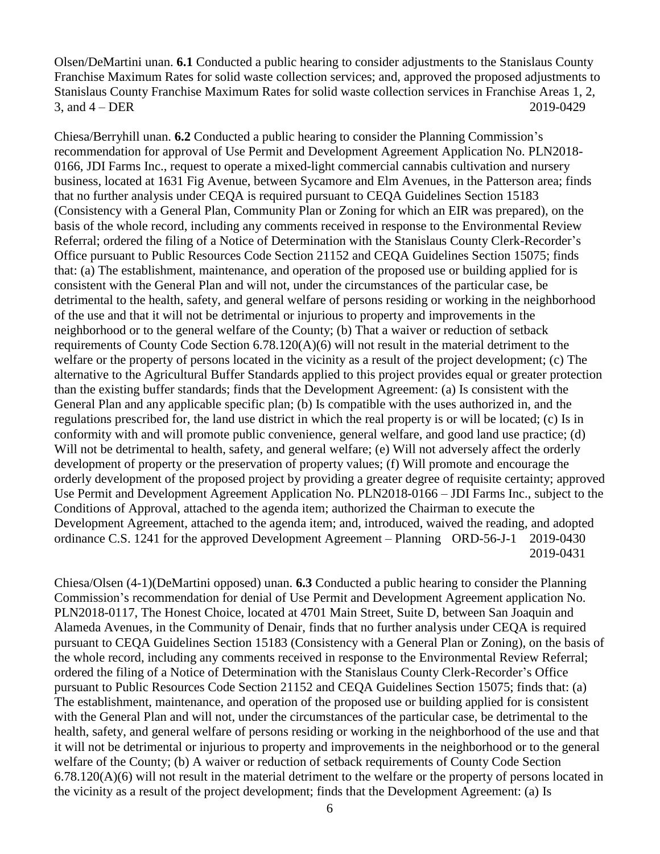Olsen/DeMartini unan. **6.1** Conducted a public hearing to consider adjustments to the Stanislaus County Franchise Maximum Rates for solid waste collection services; and, approved the proposed adjustments to Stanislaus County Franchise Maximum Rates for solid waste collection services in Franchise Areas 1, 2, 3, and 4 – DER 2019-0429

Chiesa/Berryhill unan. **6.2** Conducted a public hearing to consider the Planning Commission's recommendation for approval of Use Permit and Development Agreement Application No. PLN2018- 0166, JDI Farms Inc., request to operate a mixed-light commercial cannabis cultivation and nursery business, located at 1631 Fig Avenue, between Sycamore and Elm Avenues, in the Patterson area; finds that no further analysis under CEQA is required pursuant to CEQA Guidelines Section 15183 (Consistency with a General Plan, Community Plan or Zoning for which an EIR was prepared), on the basis of the whole record, including any comments received in response to the Environmental Review Referral; ordered the filing of a Notice of Determination with the Stanislaus County Clerk-Recorder's Office pursuant to Public Resources Code Section 21152 and CEQA Guidelines Section 15075; finds that: (a) The establishment, maintenance, and operation of the proposed use or building applied for is consistent with the General Plan and will not, under the circumstances of the particular case, be detrimental to the health, safety, and general welfare of persons residing or working in the neighborhood of the use and that it will not be detrimental or injurious to property and improvements in the neighborhood or to the general welfare of the County; (b) That a waiver or reduction of setback requirements of County Code Section 6.78.120(A)(6) will not result in the material detriment to the welfare or the property of persons located in the vicinity as a result of the project development; (c) The alternative to the Agricultural Buffer Standards applied to this project provides equal or greater protection than the existing buffer standards; finds that the Development Agreement: (a) Is consistent with the General Plan and any applicable specific plan; (b) Is compatible with the uses authorized in, and the regulations prescribed for, the land use district in which the real property is or will be located; (c) Is in conformity with and will promote public convenience, general welfare, and good land use practice; (d) Will not be detrimental to health, safety, and general welfare; (e) Will not adversely affect the orderly development of property or the preservation of property values; (f) Will promote and encourage the orderly development of the proposed project by providing a greater degree of requisite certainty; approved Use Permit and Development Agreement Application No. PLN2018-0166 – JDI Farms Inc., subject to the Conditions of Approval, attached to the agenda item; authorized the Chairman to execute the Development Agreement, attached to the agenda item; and, introduced, waived the reading, and adopted ordinance C.S. 1241 for the approved Development Agreement – Planning ORD-56-J-1 2019-0430 2019-0431

Chiesa/Olsen (4-1)(DeMartini opposed) unan. **6.3** Conducted a public hearing to consider the Planning Commission's recommendation for denial of Use Permit and Development Agreement application No. PLN2018-0117, The Honest Choice, located at 4701 Main Street, Suite D, between San Joaquin and Alameda Avenues, in the Community of Denair, finds that no further analysis under CEQA is required pursuant to CEQA Guidelines Section 15183 (Consistency with a General Plan or Zoning), on the basis of the whole record, including any comments received in response to the Environmental Review Referral; ordered the filing of a Notice of Determination with the Stanislaus County Clerk-Recorder's Office pursuant to Public Resources Code Section 21152 and CEQA Guidelines Section 15075; finds that: (a) The establishment, maintenance, and operation of the proposed use or building applied for is consistent with the General Plan and will not, under the circumstances of the particular case, be detrimental to the health, safety, and general welfare of persons residing or working in the neighborhood of the use and that it will not be detrimental or injurious to property and improvements in the neighborhood or to the general welfare of the County; (b) A waiver or reduction of setback requirements of County Code Section 6.78.120(A)(6) will not result in the material detriment to the welfare or the property of persons located in the vicinity as a result of the project development; finds that the Development Agreement: (a) Is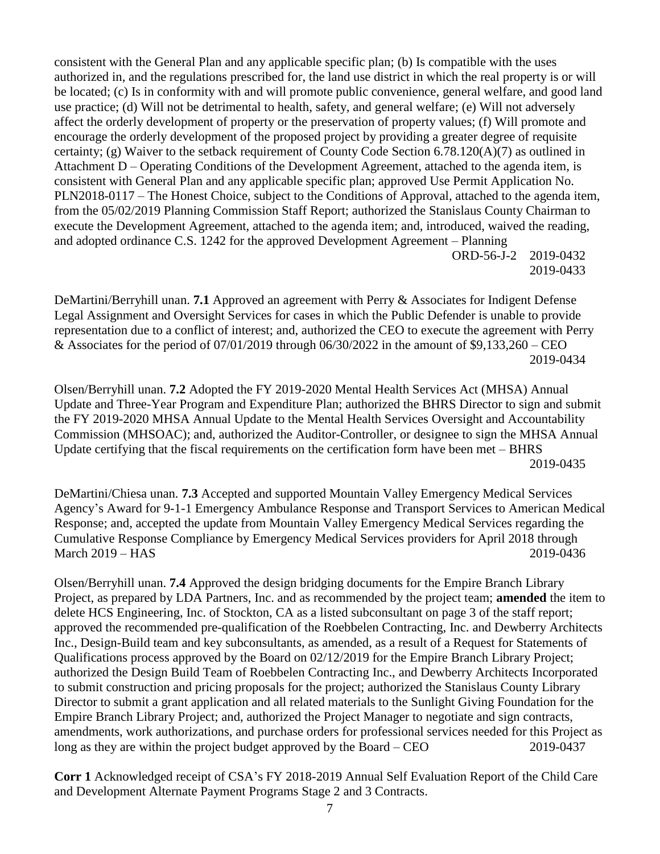consistent with the General Plan and any applicable specific plan; (b) Is compatible with the uses authorized in, and the regulations prescribed for, the land use district in which the real property is or will be located; (c) Is in conformity with and will promote public convenience, general welfare, and good land use practice; (d) Will not be detrimental to health, safety, and general welfare; (e) Will not adversely affect the orderly development of property or the preservation of property values; (f) Will promote and encourage the orderly development of the proposed project by providing a greater degree of requisite certainty; (g) Waiver to the setback requirement of County Code Section 6.78.120(A)(7) as outlined in Attachment D – Operating Conditions of the Development Agreement, attached to the agenda item, is consistent with General Plan and any applicable specific plan; approved Use Permit Application No. PLN2018-0117 – The Honest Choice, subject to the Conditions of Approval, attached to the agenda item, from the 05/02/2019 Planning Commission Staff Report; authorized the Stanislaus County Chairman to execute the Development Agreement, attached to the agenda item; and, introduced, waived the reading, and adopted ordinance C.S. 1242 for the approved Development Agreement – Planning ORD-56-J-2 2019-0432 2019-0433

DeMartini/Berryhill unan. **7.1** Approved an agreement with Perry & Associates for Indigent Defense Legal Assignment and Oversight Services for cases in which the Public Defender is unable to provide representation due to a conflict of interest; and, authorized the CEO to execute the agreement with Perry & Associates for the period of  $07/01/2019$  through  $06/30/2022$  in the amount of \$9,133,260 – CEO 2019-0434

Olsen/Berryhill unan. **7.2** Adopted the FY 2019-2020 Mental Health Services Act (MHSA) Annual Update and Three-Year Program and Expenditure Plan; authorized the BHRS Director to sign and submit the FY 2019-2020 MHSA Annual Update to the Mental Health Services Oversight and Accountability Commission (MHSOAC); and, authorized the Auditor-Controller, or designee to sign the MHSA Annual Update certifying that the fiscal requirements on the certification form have been met – BHRS 2019-0435

DeMartini/Chiesa unan. **7.3** Accepted and supported Mountain Valley Emergency Medical Services Agency's Award for 9-1-1 Emergency Ambulance Response and Transport Services to American Medical Response; and, accepted the update from Mountain Valley Emergency Medical Services regarding the Cumulative Response Compliance by Emergency Medical Services providers for April 2018 through March 2019 – HAS 2019 – 2019 – 2019 – 2019 – 2019 – 2019 – 2019 – 2019 – 2019 – 2019 – 2019 – 2019 – 2019 – 20

Olsen/Berryhill unan. **7.4** Approved the design bridging documents for the Empire Branch Library Project, as prepared by LDA Partners, Inc. and as recommended by the project team; **amended** the item to delete HCS Engineering, Inc. of Stockton, CA as a listed subconsultant on page 3 of the staff report; approved the recommended pre-qualification of the Roebbelen Contracting, Inc. and Dewberry Architects Inc., Design-Build team and key subconsultants, as amended, as a result of a Request for Statements of Qualifications process approved by the Board on 02/12/2019 for the Empire Branch Library Project; authorized the Design Build Team of Roebbelen Contracting Inc., and Dewberry Architects Incorporated to submit construction and pricing proposals for the project; authorized the Stanislaus County Library Director to submit a grant application and all related materials to the Sunlight Giving Foundation for the Empire Branch Library Project; and, authorized the Project Manager to negotiate and sign contracts, amendments, work authorizations, and purchase orders for professional services needed for this Project as long as they are within the project budget approved by the Board – CEO 2019-0437

**Corr 1** Acknowledged receipt of CSA's FY 2018-2019 Annual Self Evaluation Report of the Child Care and Development Alternate Payment Programs Stage 2 and 3 Contracts.